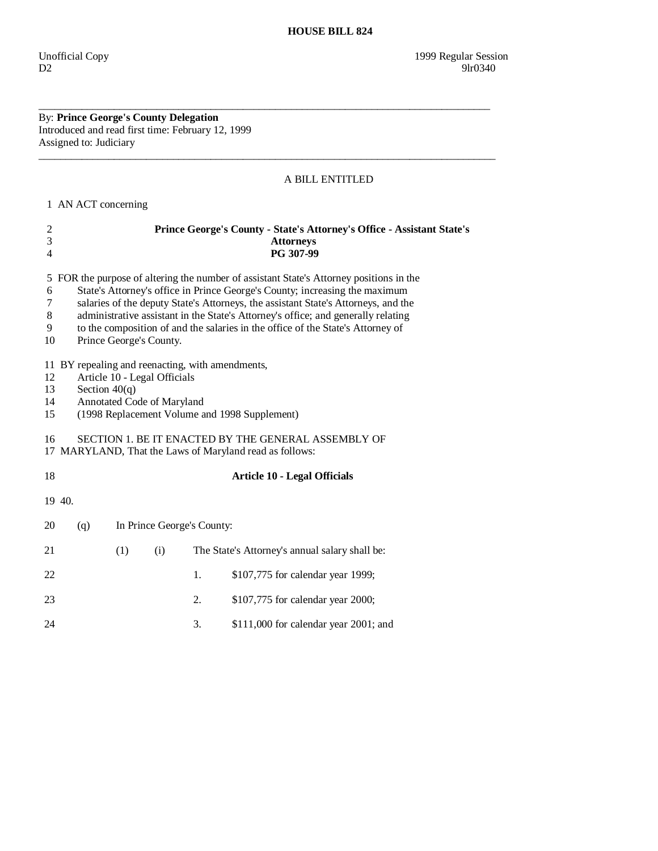By: **Prince George's County Delegation**  Introduced and read first time: February 12, 1999 Assigned to: Judiciary

## A BILL ENTITLED

1 AN ACT concerning

| $\boldsymbol{2}$<br>3<br>$\overline{4}$ | Prince George's County - State's Attorney's Office - Assistant State's<br><b>Attorneys</b><br>PG 307-99                                                                                                                                                                                                                                                                                                                                                       |                            |                                                            |    |                                                                                                                |
|-----------------------------------------|---------------------------------------------------------------------------------------------------------------------------------------------------------------------------------------------------------------------------------------------------------------------------------------------------------------------------------------------------------------------------------------------------------------------------------------------------------------|----------------------------|------------------------------------------------------------|----|----------------------------------------------------------------------------------------------------------------|
| 5<br>6<br>7<br>8<br>9<br>10             | FOR the purpose of altering the number of assistant State's Attorney positions in the<br>State's Attorney's office in Prince George's County; increasing the maximum<br>salaries of the deputy State's Attorneys, the assistant State's Attorneys, and the<br>administrative assistant in the State's Attorney's office; and generally relating<br>to the composition of and the salaries in the office of the State's Attorney of<br>Prince George's County. |                            |                                                            |    |                                                                                                                |
| 12<br>13<br>14<br>15                    |                                                                                                                                                                                                                                                                                                                                                                                                                                                               | Section $40(q)$            | Article 10 - Legal Officials<br>Annotated Code of Maryland |    | 11 BY repealing and reenacting, with amendments,<br>(1998 Replacement Volume and 1998 Supplement)              |
| 16                                      |                                                                                                                                                                                                                                                                                                                                                                                                                                                               |                            |                                                            |    | SECTION 1. BE IT ENACTED BY THE GENERAL ASSEMBLY OF<br>17 MARYLAND, That the Laws of Maryland read as follows: |
| 18                                      | <b>Article 10 - Legal Officials</b>                                                                                                                                                                                                                                                                                                                                                                                                                           |                            |                                                            |    |                                                                                                                |
| 19 40.                                  |                                                                                                                                                                                                                                                                                                                                                                                                                                                               |                            |                                                            |    |                                                                                                                |
| 20                                      | (q)                                                                                                                                                                                                                                                                                                                                                                                                                                                           | In Prince George's County: |                                                            |    |                                                                                                                |
| 21                                      |                                                                                                                                                                                                                                                                                                                                                                                                                                                               | (1)                        | (i)                                                        |    | The State's Attorney's annual salary shall be:                                                                 |
| 22                                      |                                                                                                                                                                                                                                                                                                                                                                                                                                                               |                            |                                                            | 1. | \$107,775 for calendar year 1999;                                                                              |
| 23                                      |                                                                                                                                                                                                                                                                                                                                                                                                                                                               |                            |                                                            | 2. | \$107,775 for calendar year 2000;                                                                              |
| 24                                      |                                                                                                                                                                                                                                                                                                                                                                                                                                                               |                            |                                                            | 3. | $$111,000$ for calendar year 2001; and                                                                         |

\_\_\_\_\_\_\_\_\_\_\_\_\_\_\_\_\_\_\_\_\_\_\_\_\_\_\_\_\_\_\_\_\_\_\_\_\_\_\_\_\_\_\_\_\_\_\_\_\_\_\_\_\_\_\_\_\_\_\_\_\_\_\_\_\_\_\_\_\_\_\_\_\_\_\_\_\_\_\_\_\_\_\_\_

 $\overline{\phantom{a}}$  ,  $\overline{\phantom{a}}$  ,  $\overline{\phantom{a}}$  ,  $\overline{\phantom{a}}$  ,  $\overline{\phantom{a}}$  ,  $\overline{\phantom{a}}$  ,  $\overline{\phantom{a}}$  ,  $\overline{\phantom{a}}$  ,  $\overline{\phantom{a}}$  ,  $\overline{\phantom{a}}$  ,  $\overline{\phantom{a}}$  ,  $\overline{\phantom{a}}$  ,  $\overline{\phantom{a}}$  ,  $\overline{\phantom{a}}$  ,  $\overline{\phantom{a}}$  ,  $\overline{\phantom{a}}$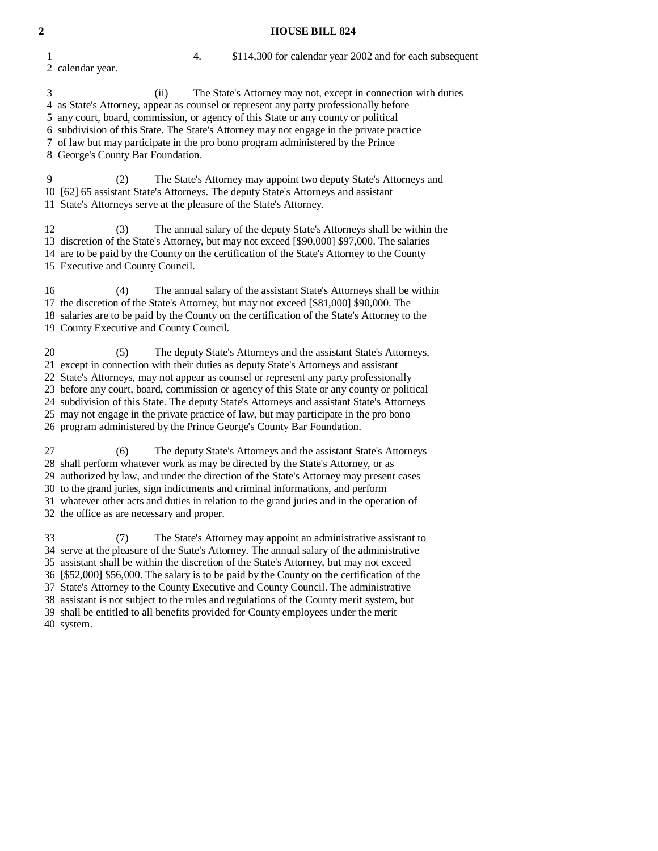## **2 HOUSE BILL 824**

 1 4. \$114,300 for calendar year 2002 and for each subsequent 2 calendar year.

 3 (ii) The State's Attorney may not, except in connection with duties 4 as State's Attorney, appear as counsel or represent any party professionally before 5 any court, board, commission, or agency of this State or any county or political 6 subdivision of this State. The State's Attorney may not engage in the private practice 7 of law but may participate in the pro bono program administered by the Prince 8 George's County Bar Foundation. 9 (2) The State's Attorney may appoint two deputy State's Attorneys and 10 [62] 65 assistant State's Attorneys. The deputy State's Attorneys and assistant 11 State's Attorneys serve at the pleasure of the State's Attorney. 12 (3) The annual salary of the deputy State's Attorneys shall be within the 13 discretion of the State's Attorney, but may not exceed [\$90,000] \$97,000. The salaries 14 are to be paid by the County on the certification of the State's Attorney to the County 15 Executive and County Council. 16 (4) The annual salary of the assistant State's Attorneys shall be within 17 the discretion of the State's Attorney, but may not exceed [\$81,000] \$90,000. The 18 salaries are to be paid by the County on the certification of the State's Attorney to the 19 County Executive and County Council. 20 (5) The deputy State's Attorneys and the assistant State's Attorneys, 21 except in connection with their duties as deputy State's Attorneys and assistant 22 State's Attorneys, may not appear as counsel or represent any party professionally 23 before any court, board, commission or agency of this State or any county or political 24 subdivision of this State. The deputy State's Attorneys and assistant State's Attorneys 25 may not engage in the private practice of law, but may participate in the pro bono 26 program administered by the Prince George's County Bar Foundation. 27 (6) The deputy State's Attorneys and the assistant State's Attorneys 28 shall perform whatever work as may be directed by the State's Attorney, or as 29 authorized by law, and under the direction of the State's Attorney may present cases 30 to the grand juries, sign indictments and criminal informations, and perform 31 whatever other acts and duties in relation to the grand juries and in the operation of 32 the office as are necessary and proper. 33 (7) The State's Attorney may appoint an administrative assistant to 34 serve at the pleasure of the State's Attorney. The annual salary of the administrative 35 assistant shall be within the discretion of the State's Attorney, but may not exceed 36 [\$52,000] \$56,000. The salary is to be paid by the County on the certification of the 37 State's Attorney to the County Executive and County Council. The administrative 38 assistant is not subject to the rules and regulations of the County merit system, but 39 shall be entitled to all benefits provided for County employees under the merit

40 system.